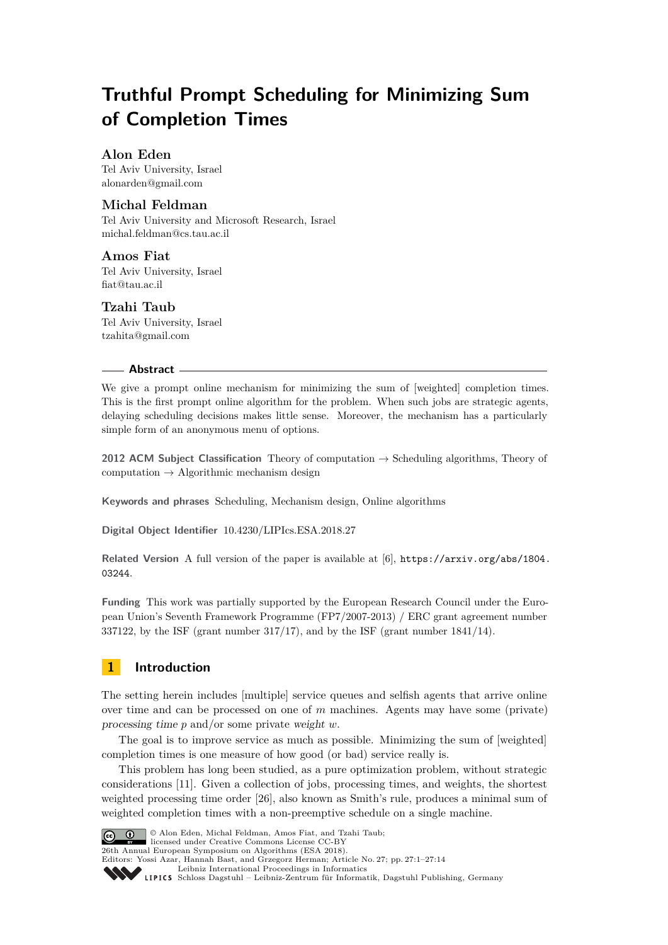# **Truthful Prompt Scheduling for Minimizing Sum of Completion Times**

# **Alon Eden**

Tel Aviv University, Israel [alonarden@gmail.com](mailto:alonarden@gmail.com)

# **Michal Feldman**

Tel Aviv University and Microsoft Research, Israel [michal.feldman@cs.tau.ac.il](mailto:michal.feldman@cs.tau.ac.il )

**Amos Fiat** Tel Aviv University, Israel [fiat@tau.ac.il](mailto:fiat@tau.ac.il )

# **Tzahi Taub**

Tel Aviv University, Israel [tzahita@gmail.com](mailto:tzahita@gmail.com)

### **Abstract**

We give a prompt online mechanism for minimizing the sum of [weighted] completion times. This is the first prompt online algorithm for the problem. When such jobs are strategic agents, delaying scheduling decisions makes little sense. Moreover, the mechanism has a particularly simple form of an anonymous menu of options.

**2012 ACM Subject Classification** Theory of computation → Scheduling algorithms, Theory of computation  $\rightarrow$  Algorithmic mechanism design

**Keywords and phrases** Scheduling, Mechanism design, Online algorithms

**Digital Object Identifier** [10.4230/LIPIcs.ESA.2018.27](http://dx.doi.org/10.4230/LIPIcs.ESA.2018.27)

**Related Version** A full version of the paper is available at [\[6\]](#page-12-0), [https://arxiv.org/abs/1804.](https://arxiv.org/abs/1804.03244) [03244](https://arxiv.org/abs/1804.03244).

**Funding** This work was partially supported by the European Research Council under the European Union's Seventh Framework Programme (FP7/2007-2013) / ERC grant agreement number 337122, by the ISF (grant number 317/17), and by the ISF (grant number 1841/14).

# **1 Introduction**

The setting herein includes [multiple] service queues and selfish agents that arrive online over time and can be processed on one of *m* machines. Agents may have some (private) processing time *p* and/or some private weight *w*.

The goal is to improve service as much as possible. Minimizing the sum of [weighted] completion times is one measure of how good (or bad) service really is.

This problem has long been studied, as a pure optimization problem, without strategic considerations [\[11\]](#page-12-1). Given a collection of jobs, processing times, and weights, the shortest weighted processing time order [\[26\]](#page-13-0), also known as Smith's rule, produces a minimal sum of weighted completion times with a non-preemptive schedule on a single machine.



**C**  $\bullet$   $\bullet$   $\bullet$  Alon Eden, Michal Feldman, Amos Fiat, and Tzahi Taub;

licensed under Creative Commons License CC-BY 26th Annual European Symposium on Algorithms (ESA 2018).

Editors: Yossi Azar, Hannah Bast, and Grzegorz Herman; Article No. 27; pp. 27:1–27[:14](#page-13-1)

[Leibniz International Proceedings in Informatics](http://www.dagstuhl.de/lipics/)

Leibniz International Froceedings in Informatik, Dagstuhl Publishing, Germany<br>LIPICS [Schloss Dagstuhl – Leibniz-Zentrum für Informatik, Dagstuhl Publishing, Germany](http://www.dagstuhl.de)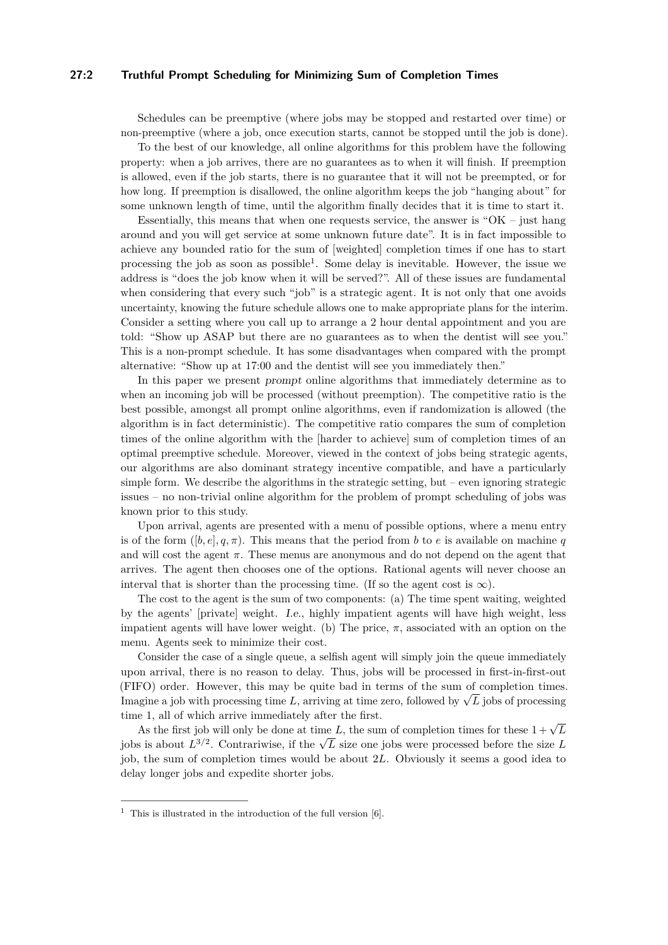### **27:2 Truthful Prompt Scheduling for Minimizing Sum of Completion Times**

Schedules can be preemptive (where jobs may be stopped and restarted over time) or non-preemptive (where a job, once execution starts, cannot be stopped until the job is done).

To the best of our knowledge, all online algorithms for this problem have the following property: when a job arrives, there are no guarantees as to when it will finish. If preemption is allowed, even if the job starts, there is no guarantee that it will not be preempted, or for how long. If preemption is disallowed, the online algorithm keeps the job "hanging about" for some unknown length of time, until the algorithm finally decides that it is time to start it.

Essentially, this means that when one requests service, the answer is "OK – just hang around and you will get service at some unknown future date". It is in fact impossible to achieve any bounded ratio for the sum of [weighted] completion times if one has to start processing the job as soon as possible<sup>[1](#page-1-0)</sup>. Some delay is inevitable. However, the issue we address is "does the job know when it will be served?". All of these issues are fundamental when considering that every such "job" is a strategic agent. It is not only that one avoids uncertainty, knowing the future schedule allows one to make appropriate plans for the interim. Consider a setting where you call up to arrange a 2 hour dental appointment and you are told: "Show up ASAP but there are no guarantees as to when the dentist will see you." This is a non-prompt schedule. It has some disadvantages when compared with the prompt alternative: "Show up at 17:00 and the dentist will see you immediately then."

In this paper we present prompt online algorithms that immediately determine as to when an incoming job will be processed (without preemption). The competitive ratio is the best possible, amongst all prompt online algorithms, even if randomization is allowed (the algorithm is in fact deterministic). The competitive ratio compares the sum of completion times of the online algorithm with the [harder to achieve] sum of completion times of an optimal preemptive schedule. Moreover, viewed in the context of jobs being strategic agents, our algorithms are also dominant strategy incentive compatible, and have a particularly simple form. We describe the algorithms in the strategic setting, but – even ignoring strategic issues – no non-trivial online algorithm for the problem of prompt scheduling of jobs was known prior to this study.

Upon arrival, agents are presented with a menu of possible options, where a menu entry is of the form  $([b, e], q, \pi)$ . This means that the period from *b* to *e* is available on machine *q* and will cost the agent  $\pi$ . These menus are anonymous and do not depend on the agent that arrives. The agent then chooses one of the options. Rational agents will never choose an interval that is shorter than the processing time. (If so the agent cost is  $\infty$ ).

The cost to the agent is the sum of two components: (a) The time spent waiting, weighted by the agents' [private] weight. I.e., highly impatient agents will have high weight, less impatient agents will have lower weight. (b) The price,  $\pi$ , associated with an option on the menu. Agents seek to minimize their cost.

Consider the case of a single queue, a selfish agent will simply join the queue immediately upon arrival, there is no reason to delay. Thus, jobs will be processed in first-in-first-out (FIFO) order. However, this may be quite bad in terms of the sum of completion times.  $\text{Im}(\text{FITU})$  order. However, this may be quite bad in terms of the sum of completion times Imagine a job with processing time *L*, arriving at time zero, followed by  $\sqrt{L}$  jobs of processing time 1, all of which arrive immediately after the first.

As the first job will only be done at time *L*, the sum of completion times for these  $1 + \sqrt{L}$ As the first job will only be done at time *L*, the sum of completion times for these  $1 + \sqrt{L}$ <br>jobs is about  $L^{3/2}$ . Contrariwise, if the  $\sqrt{L}$  size one jobs were processed before the size *L* job, the sum of completion times would be about 2*L*. Obviously it seems a good idea to delay longer jobs and expedite shorter jobs.

<span id="page-1-0"></span><sup>&</sup>lt;sup>1</sup> This is illustrated in the introduction of the full version [\[6\]](#page-12-0).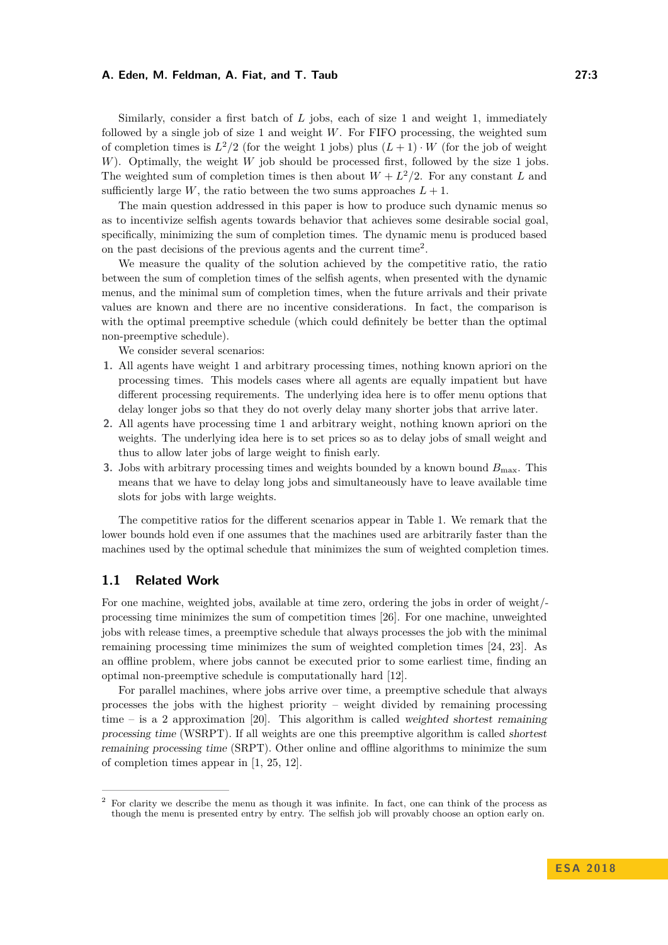Similarly, consider a first batch of *L* jobs, each of size 1 and weight 1, immediately followed by a single job of size 1 and weight *W*. For FIFO processing, the weighted sum of completion times is  $L^2/2$  (for the weight 1 jobs) plus  $(L+1) \cdot W$  (for the job of weight *W*). Optimally, the weight *W* job should be processed first, followed by the size 1 jobs. The weighted sum of completion times is then about  $W + L^2/2$ . For any constant *L* and sufficiently large *W*, the ratio between the two sums approaches  $L + 1$ .

The main question addressed in this paper is how to produce such dynamic menus so as to incentivize selfish agents towards behavior that achieves some desirable social goal, specifically, minimizing the sum of completion times. The dynamic menu is produced based on the past decisions of the previous agents and the current time<sup>[2](#page-2-0)</sup>.

We measure the quality of the solution achieved by the competitive ratio, the ratio between the sum of completion times of the selfish agents, when presented with the dynamic menus, and the minimal sum of completion times, when the future arrivals and their private values are known and there are no incentive considerations. In fact, the comparison is with the optimal preemptive schedule (which could definitely be better than the optimal non-preemptive schedule).

We consider several scenarios:

- **1.** All agents have weight 1 and arbitrary processing times, nothing known apriori on the processing times. This models cases where all agents are equally impatient but have different processing requirements. The underlying idea here is to offer menu options that delay longer jobs so that they do not overly delay many shorter jobs that arrive later.
- **2.** All agents have processing time 1 and arbitrary weight, nothing known apriori on the weights. The underlying idea here is to set prices so as to delay jobs of small weight and thus to allow later jobs of large weight to finish early.
- **3.** Jobs with arbitrary processing times and weights bounded by a known bound  $B_{\text{max}}$ . This means that we have to delay long jobs and simultaneously have to leave available time slots for jobs with large weights.

The competitive ratios for the different scenarios appear in Table [1.](#page-3-0) We remark that the lower bounds hold even if one assumes that the machines used are arbitrarily faster than the machines used by the optimal schedule that minimizes the sum of weighted completion times.

### **1.1 Related Work**

For one machine, weighted jobs, available at time zero, ordering the jobs in order of weight/ processing time minimizes the sum of competition times [\[26\]](#page-13-0). For one machine, unweighted jobs with release times, a preemptive schedule that always processes the job with the minimal remaining processing time minimizes the sum of weighted completion times [\[24,](#page-13-2) [23\]](#page-13-3). As an offline problem, where jobs cannot be executed prior to some earliest time, finding an optimal non-preemptive schedule is computationally hard [\[12\]](#page-12-2).

For parallel machines, where jobs arrive over time, a preemptive schedule that always processes the jobs with the highest priority – weight divided by remaining processing time – is a 2 approximation [\[20\]](#page-12-3). This algorithm is called weighted shortest remaining processing time (WSRPT). If all weights are one this preemptive algorithm is called shortest remaining processing time (SRPT). Other online and offline algorithms to minimize the sum of completion times appear in [\[1,](#page-11-0) [25,](#page-13-4) [12\]](#page-12-2).

<span id="page-2-0"></span><sup>2</sup> For clarity we describe the menu as though it was infinite. In fact, one can think of the process as though the menu is presented entry by entry. The selfish job will provably choose an option early on.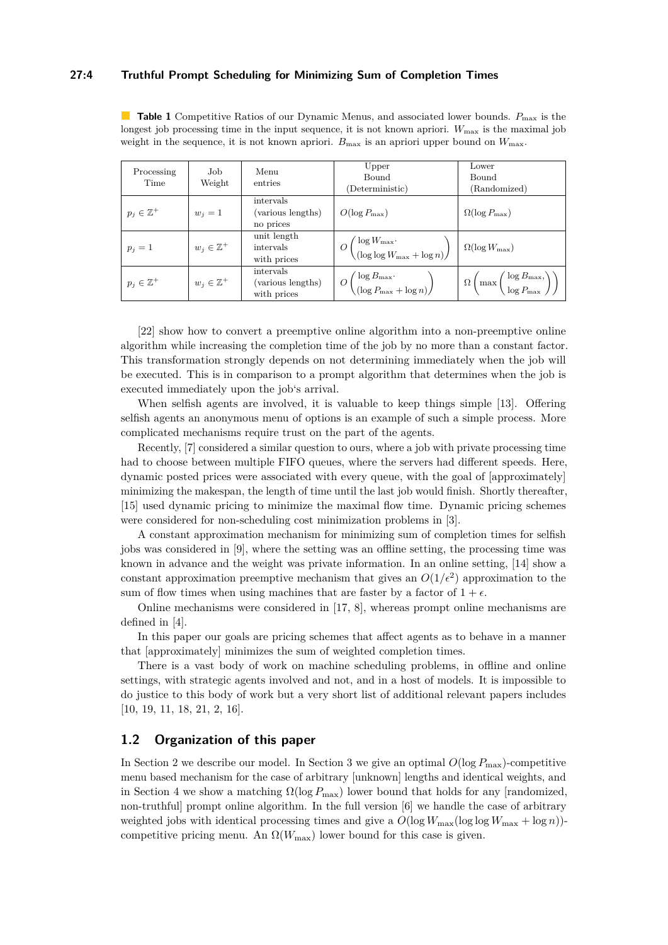### **27:4 Truthful Prompt Scheduling for Minimizing Sum of Completion Times**

<span id="page-3-0"></span>**Table 1** Competitive Ratios of our Dynamic Menus, and associated lower bounds.  $P_{\text{max}}$  is the longest job processing time in the input sequence, it is not known apriori.  $W_{\text{max}}$  is the maximal job weight in the sequence, it is not known apriori.  $B_{\text{max}}$  is an apriori upper bound on  $W_{\text{max}}$ .

| Processing<br>Time     | Job<br>Weight          | Menu<br>entries                               | Upper<br>Bound<br>Deterministic)                                    | Lower<br>Bound<br>(Randomized)                                            |
|------------------------|------------------------|-----------------------------------------------|---------------------------------------------------------------------|---------------------------------------------------------------------------|
| $p_j \in \mathbb{Z}^+$ | $w_i=1$                | intervals<br>(various lengths)<br>no prices   | $O(\log P_{\max})$                                                  | $\Omega(\log P_{\max})$                                                   |
| $p_i=1$                | $w_i \in \mathbb{Z}^+$ | unit length<br>intervals<br>with prices       | $O\left(\frac{\log W_{\max}}{(\log \log W_{\max} + \log n)}\right)$ | $\Omega(\log W_{\rm max})$                                                |
| $p_j \in \mathbb{Z}^+$ | $w_i \in \mathbb{Z}^+$ | intervals<br>(various lengths)<br>with prices | $O\left(\frac{\log B_{\max}}{(\log P_{\max} + \log n)}\right)$      | $\Omega\left(\max\left(\frac{\log B_{\max}}{\log P_{\max}}\right)\right)$ |

[\[22\]](#page-13-5) show how to convert a preemptive online algorithm into a non-preemptive online algorithm while increasing the completion time of the job by no more than a constant factor. This transformation strongly depends on not determining immediately when the job will be executed. This is in comparison to a prompt algorithm that determines when the job is executed immediately upon the job's arrival.

When selfish agents are involved, it is valuable to keep things simple [\[13\]](#page-12-4). Offering selfish agents an anonymous menu of options is an example of such a simple process. More complicated mechanisms require trust on the part of the agents.

Recently, [\[7\]](#page-12-5) considered a similar question to ours, where a job with private processing time had to choose between multiple FIFO queues, where the servers had different speeds. Here, dynamic posted prices were associated with every queue, with the goal of [approximately] minimizing the makespan, the length of time until the last job would finish. Shortly thereafter, [\[15\]](#page-12-6) used dynamic pricing to minimize the maximal flow time. Dynamic pricing schemes were considered for non-scheduling cost minimization problems in [\[3\]](#page-11-1).

A constant approximation mechanism for minimizing sum of completion times for selfish jobs was considered in [\[9\]](#page-12-7), where the setting was an offline setting, the processing time was known in advance and the weight was private information. In an online setting, [\[14\]](#page-12-8) show a constant approximation preemptive mechanism that gives an  $O(1/\epsilon^2)$  approximation to the sum of flow times when using machines that are faster by a factor of  $1 + \epsilon$ .

Online mechanisms were considered in [\[17,](#page-12-9) [8\]](#page-12-10), whereas prompt online mechanisms are defined in [\[4\]](#page-11-2).

In this paper our goals are pricing schemes that affect agents as to behave in a manner that [approximately] minimizes the sum of weighted completion times.

There is a vast body of work on machine scheduling problems, in offline and online settings, with strategic agents involved and not, and in a host of models. It is impossible to do justice to this body of work but a very short list of additional relevant papers includes [\[10,](#page-12-11) [19,](#page-12-12) [11,](#page-12-1) [18,](#page-12-13) [21,](#page-13-6) [2,](#page-11-3) [16\]](#page-12-14).

### **1.2 Organization of this paper**

In Section [2](#page-4-0) we describe our model. In Section [3](#page-5-0) we give an optimal  $O(\log P_{\max})$ -competitive menu based mechanism for the case of arbitrary [unknown] lengths and identical weights, and in Section [4](#page-10-0) we show a matching  $\Omega(\log P_{\max})$  lower bound that holds for any [randomized, non-truthful] prompt online algorithm. In the full version [\[6\]](#page-12-0) we handle the case of arbitrary weighted jobs with identical processing times and give a  $O(\log W_{\text{max}}(\log \log W_{\text{max}} + \log n))$ competitive pricing menu. An  $\Omega(W_{\text{max}})$  lower bound for this case is given.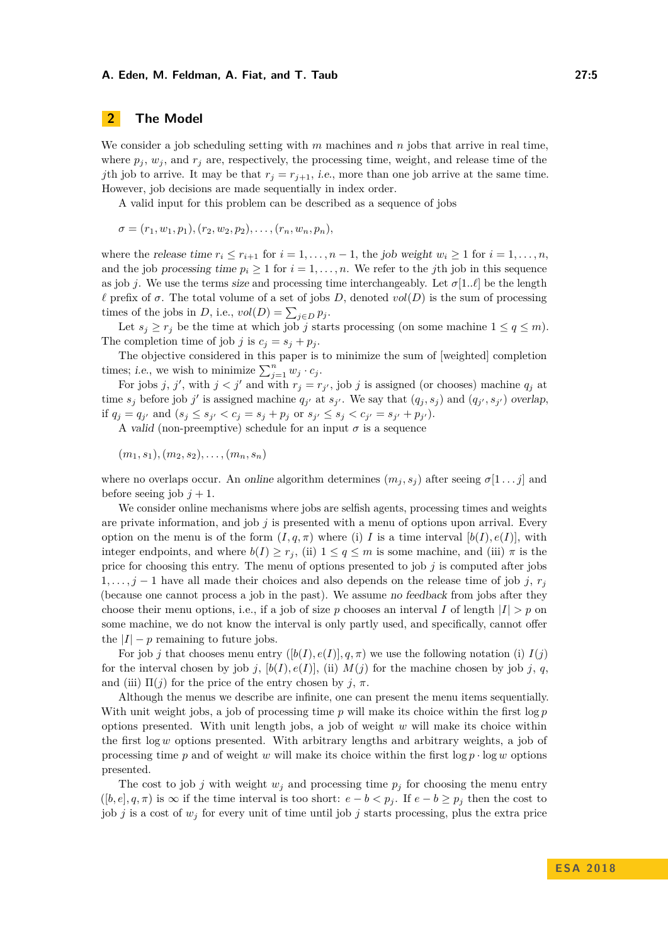# <span id="page-4-0"></span>**2 The Model**

We consider a job scheduling setting with *m* machines and *n* jobs that arrive in real time, where  $p_j$ ,  $w_j$ , and  $r_j$  are, respectively, the processing time, weight, and release time of the *j*th job to arrive. It may be that  $r_j = r_{j+1}$ , *i.e.*, more than one job arrive at the same time. However, job decisions are made sequentially in index order.

A valid input for this problem can be described as a sequence of jobs

$$
\sigma = (r_1, w_1, p_1), (r_2, w_2, p_2), \ldots, (r_n, w_n, p_n),
$$

where the release time  $r_i \leq r_{i+1}$  for  $i = 1, \ldots, n-1$ , the job weight  $w_i \geq 1$  for  $i = 1, \ldots, n$ , and the job processing time  $p_i \geq 1$  for  $i = 1, \ldots, n$ . We refer to the *j*th job in this sequence as job *j*. We use the terms size and processing time interchangeably. Let  $\sigma[1..\ell]$  be the length  $\ell$  prefix of  $\sigma$ . The total volume of a set of jobs *D*, denoted  $vol(D)$  is the sum of processing times of the jobs in *D*, i.e.,  $vol(D) = \sum_{j \in D} p_j$ .

Let  $s_j \geq r_j$  be the time at which job *j* starts processing (on some machine  $1 \leq q \leq m$ ). The completion time of job *j* is  $c_j = s_j + p_j$ .

The objective considered in this paper is to minimize the sum of [weighted] completion times; *i.e.*, we wish to minimize  $\sum_{j=1}^{n} w_j \cdot c_j$ .

For jobs *j*, *j'*, with  $j < j'$  and with  $r_j = r_{j'}$ , job *j* is assigned (or chooses) machine  $q_j$  at time  $s_j$  before job *j'* is assigned machine  $q_{j'}$  at  $s_{j'}$ . We say that  $(q_j, s_j)$  and  $(q_{j'}, s_{j'})$  overlap, if  $q_j = q_{j'}$  and  $(s_j \le s_{j'} < c_j = s_j + p_j$  or  $s_{j'} \le s_j < c_{j'} = s_{j'} + p_{j'}$ .

A valid (non-preemptive) schedule for an input  $\sigma$  is a sequence

$$
(m_1, s_1), (m_2, s_2), \ldots, (m_n, s_n)
$$

where no overlaps occur. An online algorithm determines  $(m_j, s_j)$  after seeing  $\sigma[1 \dots j]$  and before seeing job  $j + 1$ .

We consider online mechanisms where jobs are selfish agents, processing times and weights are private information, and job *j* is presented with a menu of options upon arrival. Every option on the menu is of the form  $(I, q, \pi)$  where (i) *I* is a time interval  $[b(I), e(I)]$ , with integer endpoints, and where  $b(I) \geq r_j$ , (ii)  $1 \leq q \leq m$  is some machine, and (iii)  $\pi$  is the price for choosing this entry. The menu of options presented to job *j* is computed after jobs 1,..., *j* − 1 have all made their choices and also depends on the release time of job *j*,  $r_j$ (because one cannot process a job in the past). We assume no feedback from jobs after they choose their menu options, i.e., if a job of size p chooses an interval *I* of length  $|I| > p$  on some machine, we do not know the interval is only partly used, and specifically, cannot offer the  $|I| - p$  remaining to future jobs.

For job *j* that chooses menu entry  $([b(I), e(I)], q, \pi)$  we use the following notation (i)  $I(j)$ for the interval chosen by job *j*,  $[b(I), e(I)]$ , (ii)  $M(j)$  for the machine chosen by job *j*, *q*, and (iii)  $\Pi(i)$  for the price of the entry chosen by *j*,  $\pi$ .

Although the menus we describe are infinite, one can present the menu items sequentially. With unit weight jobs, a job of processing time  $p$  will make its choice within the first  $\log p$ options presented. With unit length jobs, a job of weight *w* will make its choice within the first log *w* options presented. With arbitrary lengths and arbitrary weights, a job of processing time  $p$  and of weight  $w$  will make its choice within the first  $\log p \cdot \log w$  options presented.

The cost to job *j* with weight  $w_j$  and processing time  $p_j$  for choosing the menu entry  $([b, e], q, \pi)$  is  $\infty$  if the time interval is too short:  $e - b < p_j$ . If  $e - b \geq p_j$  then the cost to job *j* is a cost of  $w_j$  for every unit of time until job *j* starts processing, plus the extra price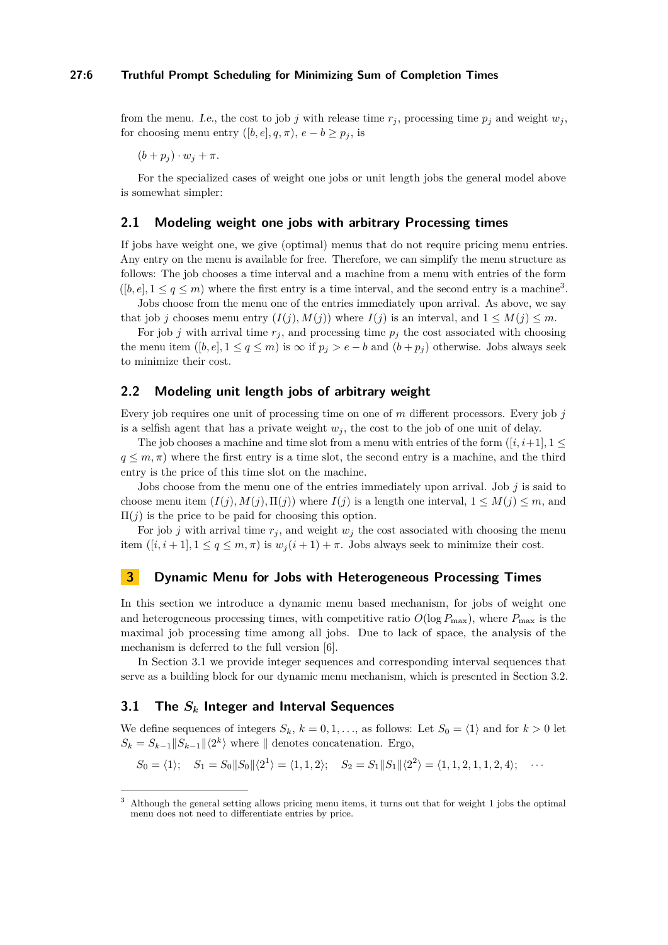from the menu. I.e., the cost to job *j* with release time  $r_j$ , processing time  $p_j$  and weight  $w_j$ , for choosing menu entry  $([b, e], q, \pi)$ ,  $e - b \geq p_i$ , is

 $(b + p_i) \cdot w_j + \pi.$ 

For the specialized cases of weight one jobs or unit length jobs the general model above is somewhat simpler:

### **2.1 Modeling weight one jobs with arbitrary Processing times**

If jobs have weight one, we give (optimal) menus that do not require pricing menu entries. Any entry on the menu is available for free. Therefore, we can simplify the menu structure as follows: The job chooses a time interval and a machine from a menu with entries of the form  $([b, e], 1 \le q \le m)$  where the first entry is a time interval, and the second entry is a machine<sup>[3](#page-5-1)</sup>.

Jobs choose from the menu one of the entries immediately upon arrival. As above, we say that job *j* chooses menu entry  $(I(j), M(j))$  where  $I(j)$  is an interval, and  $1 \leq M(j) \leq m$ .

For job *j* with arrival time  $r_j$ , and processing time  $p_j$  the cost associated with choosing the menu item  $([b, e], 1 \le q \le m)$  is  $\infty$  if  $p_j > e - b$  and  $(b + p_j)$  otherwise. Jobs always seek to minimize their cost.

# **2.2 Modeling unit length jobs of arbitrary weight**

Every job requires one unit of processing time on one of *m* different processors. Every job *j* is a selfish agent that has a private weight  $w_j$ , the cost to the job of one unit of delay.

The job chooses a machine and time slot from a menu with entries of the form  $([i, i+1], 1 \leq$  $q \leq m, \pi$ ) where the first entry is a time slot, the second entry is a machine, and the third entry is the price of this time slot on the machine.

Jobs choose from the menu one of the entries immediately upon arrival. Job *j* is said to choose menu item  $(I(j), M(j), \Pi(j))$  where  $I(j)$  is a length one interval,  $1 \leq M(j) \leq m$ , and  $\Pi(j)$  is the price to be paid for choosing this option.

For job *j* with arrival time  $r_j$ , and weight  $w_j$  the cost associated with choosing the menu item  $([i, i+1], 1 \le q \le m, \pi)$  is  $w_j(i+1) + \pi$ . Jobs always seek to minimize their cost.

# <span id="page-5-0"></span>**3 Dynamic Menu for Jobs with Heterogeneous Processing Times**

In this section we introduce a dynamic menu based mechanism, for jobs of weight one and heterogeneous processing times, with competitive ratio  $O(\log P_{\max})$ , where  $P_{\max}$  is the maximal job processing time among all jobs. Due to lack of space, the analysis of the mechanism is deferred to the full version [\[6\]](#page-12-0).

In Section [3.1](#page-5-2) we provide integer sequences and corresponding interval sequences that serve as a building block for our dynamic menu mechanism, which is presented in Section [3.2.](#page-7-0)

# <span id="page-5-2"></span>**3.1 The** *S<sup>k</sup>* **Integer and Interval Sequences**

We define sequences of integers  $S_k$ ,  $k = 0, 1, \ldots$ , as follows: Let  $S_0 = \langle 1 \rangle$  and for  $k > 0$  let  $S_k = S_{k-1} || S_{k-1} || \langle 2^k \rangle$  where  $||$  denotes concatenation. Ergo,

$$
S_0 = \langle 1 \rangle; \quad S_1 = S_0 \| S_0 \| \langle 2^1 \rangle = \langle 1, 1, 2 \rangle; \quad S_2 = S_1 \| S_1 \| \langle 2^2 \rangle = \langle 1, 1, 2, 1, 1, 2, 4 \rangle; \quad \cdots
$$

<span id="page-5-1"></span><sup>3</sup> Although the general setting allows pricing menu items, it turns out that for weight 1 jobs the optimal menu does not need to differentiate entries by price.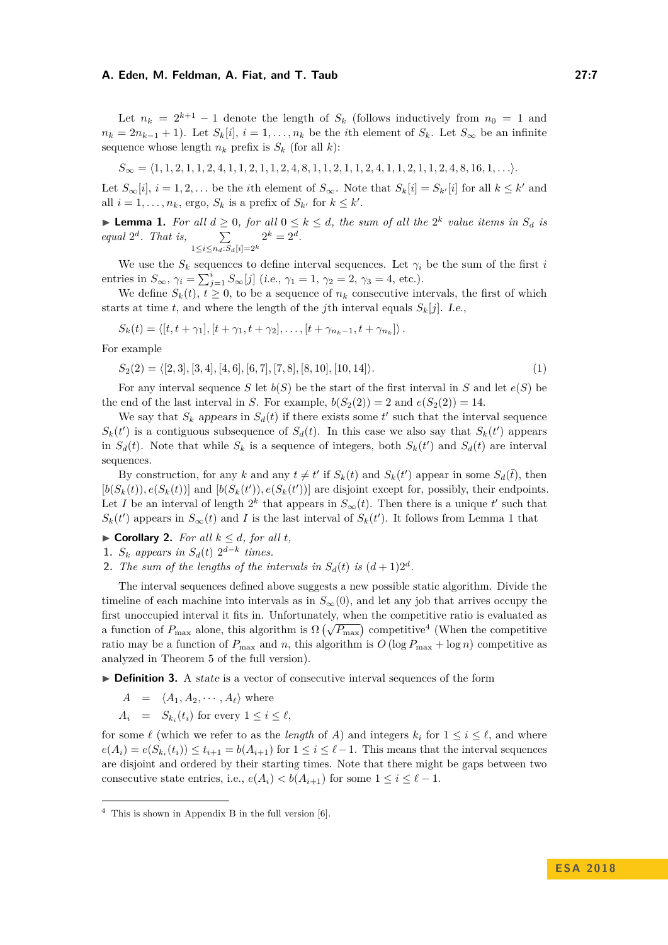Let  $n_k = 2^{k+1} - 1$  denote the length of  $S_k$  (follows inductively from  $n_0 = 1$  and  $n_k = 2n_{k-1} + 1$ . Let  $S_k[i], i = 1, \ldots, n_k$  be the *i*th element of  $S_k$ . Let  $S_{\infty}$  be an infinite sequence whose length  $n_k$  prefix is  $S_k$  (for all *k*):

$$
S_{\infty} = \langle 1, 1, 2, 1, 1, 2, 4, 1, 1, 2, 1, 1, 2, 4, 8, 1, 1, 2, 1, 1, 2, 4, 1, 1, 2, 1, 1, 2, 4, 8, 16, 1, \ldots \rangle.
$$

Let  $S_{\infty}[i], i = 1, 2, \ldots$  be the *i*th element of  $S_{\infty}$ . Note that  $S_k[i] = S_{k'}[i]$  for all  $k \leq k'$  and all  $i = 1, \ldots, n_k$ , ergo,  $S_k$  is a prefix of  $S_{k'}$  for  $k \leq k'$ .

<span id="page-6-0"></span>▶ **Lemma 1.** *For all*  $d \geq 0$ *, for all*  $0 \leq k \leq d$ *, the sum of all the*  $2^k$  *value items in*  $S_d$  *is equal*  $2^d$ *. That is,*  $\sum$ 1≤*i*≤*nd*:*Sd*[*i*]=2*<sup>k</sup>*  $2^k = 2^d$ .

We use the  $S_k$  sequences to define interval sequences. Let  $\gamma_i$  be the sum of the first *i* entries in  $S_{\infty}$ ,  $\gamma_i = \sum_{j=1}^i S_{\infty}[j]$  (i.e.,  $\gamma_1 = 1$ ,  $\gamma_2 = 2$ ,  $\gamma_3 = 4$ , etc.).

We define  $S_k(t)$ ,  $t \geq 0$ , to be a sequence of  $n_k$  consecutive intervals, the first of which starts at time *t*, and where the length of the *j*th interval equals  $S_k[i]$ . I.e.,

$$
S_k(t) = \langle [t, t + \gamma_1], [t + \gamma_1, t + \gamma_2], \dots, [t + \gamma_{n_k - 1}, t + \gamma_{n_k}] \rangle.
$$

For example

$$
S_2(2) = \langle [2,3], [3,4], [4,6], [6,7], [7,8], [8,10], [10,14] \rangle.
$$
 (1)

For any interval sequence *S* let  $b(S)$  be the start of the first interval in *S* and let  $e(S)$  be the end of the last interval in *S*. For example,  $b(S_2(2)) = 2$  and  $e(S_2(2)) = 14$ .

We say that  $S_k$  appears in  $S_d(t)$  if there exists some  $t'$  such that the interval sequence  $S_k(t')$  is a contiguous subsequence of  $S_d(t)$ . In this case we also say that  $S_k(t')$  appears in  $S_d(t)$ . Note that while  $S_k$  is a sequence of integers, both  $S_k(t')$  and  $S_d(t)$  are interval sequences.

By construction, for any *k* and any  $t \neq t'$  if  $S_k(t)$  and  $S_k(t')$  appear in some  $S_d(\tilde{t})$ , then  $[b(S_k(t)), e(S_k(t))]$  and  $[b(S_k(t')), e(S_k(t'))]$  are disjoint except for, possibly, their endpoints. Let *I* be an interval of length  $2^k$  that appears in  $S_\infty(t)$ . Then there is a unique  $t'$  such that  $S_k(t')$  appears in  $S_\infty(t)$  and *I* is the last interval of  $S_k(t')$ . It follows from Lemma [1](#page-6-0) that

- $\blacktriangleright$  **Corollary 2.** *For all*  $k \leq d$ *, for all t,*
- 1.  $S_k$  appears in  $S_d(t)$   $2^{d-k}$  times.
- **2.** *The sum of the lengths of the intervals in*  $S_d(t)$  *is*  $(d+1)2^d$ .

The interval sequences defined above suggests a new possible static algorithm. Divide the timeline of each machine into intervals as in  $S_{\infty}(0)$ , and let any job that arrives occupy the first unoccupied interval it fits in. Unfortunately, when the competitive ratio is evaluated as a function of  $P_{\text{max}}$  alone, this algorithm is  $\Omega(\sqrt{P_{\text{max}}})$  competitive<sup>[4](#page-6-1)</sup> (When the competitive ratio may be a function of  $P_{\text{max}}$  and *n*, this algorithm is  $O(\log P_{\text{max}} + \log n)$  competitive as analyzed in Theorem 5 of the full version).

- ► **Definition 3.** A state is a vector of consecutive interval sequences of the form
	- $A = \langle A_1, A_2, \cdots, A_\ell \rangle$  where
	- $A_i = S_{k_i}(t_i)$  for every  $1 \leq i \leq \ell$ ,

for some  $\ell$  (which we refer to as the *length* of *A*) and integers  $k_i$  for  $1 \le i \le \ell$ , and where  $e(A_i) = e(S_{k_i}(t_i)) \le t_{i+1} = b(A_{i+1})$  for  $1 \le i \le \ell-1$ . This means that the interval sequences are disjoint and ordered by their starting times. Note that there might be gaps between two consecutive state entries, i.e.,  $e(A_i) < b(A_{i+1})$  for some  $1 \leq i \leq \ell - 1$ .

<span id="page-6-1"></span> $4$  This is shown in Appendix B in the full version [\[6\]](#page-12-0).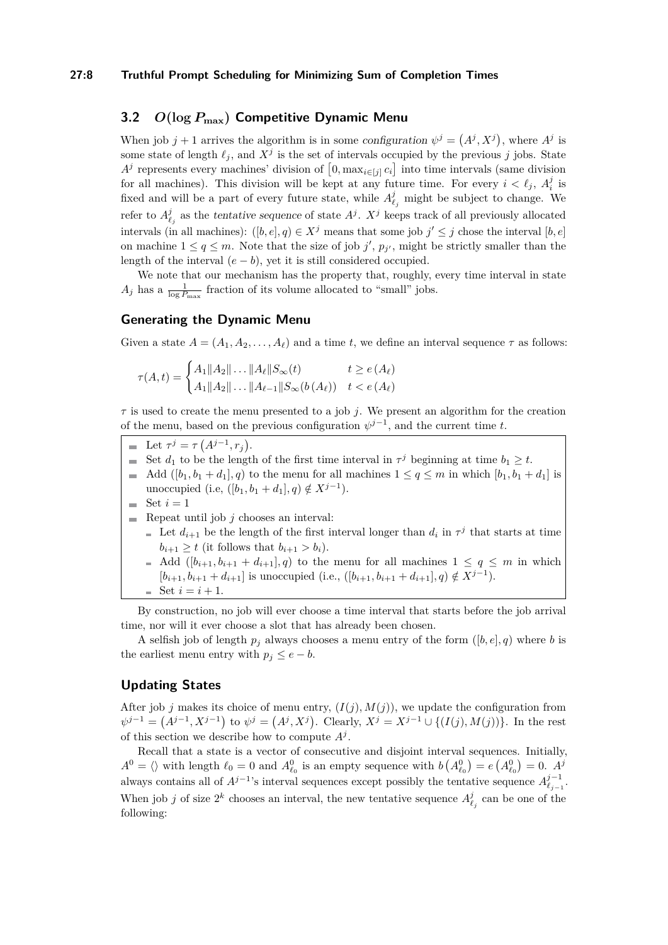#### **27:8 Truthful Prompt Scheduling for Minimizing Sum of Completion Times**

# <span id="page-7-0"></span>**3.2** *O***(log** *P***max) Competitive Dynamic Menu**

When job  $j + 1$  arrives the algorithm is in some configuration  $\psi^j = (A^j, X^j)$ , where  $A^j$  is some state of length  $\ell_j$ , and  $X^j$  is the set of intervals occupied by the previous *j* jobs. State  $A^j$  represents every machines' division of  $[0, \max_{i \in [j]} c_i]$  into time intervals (same division for all machines). This division will be kept at any future time. For every  $i < \ell_j$ ,  $A_i^j$  is fixed and will be a part of every future state, while  $A_{\ell_j}^j$  might be subject to change. We refer to  $A_{\ell_j}^j$  as the tentative sequence of state  $A^j$ .  $X^j$  keeps track of all previously allocated intervals (in all machines):  $([b, e], q) \in X^j$  means that some job  $j' \leq j$  chose the interval  $[b, e]$ on machine  $1 \le q \le m$ . Note that the size of job  $j'$ ,  $p_{j'}$ , might be strictly smaller than the length of the interval  $(e - b)$ , yet it is still considered occupied.

We note that our mechanism has the property that, roughly, every time interval in state  $A_j$  has a  $\frac{1}{\log P_{\max}}$  fraction of its volume allocated to "small" jobs.

### **Generating the Dynamic Menu**

Given a state  $A = (A_1, A_2, \ldots, A_\ell)$  and a time *t*, we define an interval sequence  $\tau$  as follows:

$$
\tau(A, t) = \begin{cases} A_1 \|A_2\| \dots \|A_\ell\| S_\infty(t) & t \ge e(A_\ell) \\ A_1 \|A_2\| \dots \|A_{\ell-1}\| S_\infty(b(A_\ell)) & t < e(A_\ell) \end{cases}
$$

*τ* is used to create the menu presented to a job *j*. We present an algorithm for the creation of the menu, based on the previous configuration  $\psi^{j-1}$ , and the current time *t*.

- Let  $\tau^{j} = \tau(A^{j-1}, r_{j}).$
- Set  $d_1$  to be the length of the first time interval in  $\tau^j$  beginning at time  $b_1 \geq t$ .
- Add  $([b_1, b_1 + d_1], q)$  to the menu for all machines  $1 \le q \le m$  in which  $[b_1, b_1 + d_1]$  is unoccupied (i.e,  $([b_1, b_1 + d_1], q) \notin X^{j-1}$ ).
- $\equiv$  Set  $i=1$
- Repeat until job  $j$  chooses an interval:
	- Let  $d_{i+1}$  be the length of the first interval longer than  $d_i$  in  $\tau^j$  that starts at time  $b_{i+1} \geq t$  (it follows that  $b_{i+1} > b_i$ ).
	- Add  $([b_{i+1}, b_{i+1} + d_{i+1}], q)$  to the menu for all machines  $1 \le q \le m$  in which  $[b_{i+1}, b_{i+1} + d_{i+1}]$  is unoccupied (i.e.,  $([b_{i+1}, b_{i+1} + d_{i+1}], q) \notin X^{j-1}$ ).  $=$  Set  $i = i + 1$ .

By construction, no job will ever choose a time interval that starts before the job arrival time, nor will it ever choose a slot that has already been chosen.

A selfish job of length  $p_j$  always chooses a menu entry of the form  $([b, e], q)$  where *b* is the earliest menu entry with  $p_j \leq e - b$ .

# **Updating States**

After job *j* makes its choice of menu entry,  $(I(j), M(j))$ , we update the configuration from  $\psi^{j-1} = (A^{j-1}, X^{j-1})$  to  $\psi^j = (A^j, X^j)$ . Clearly,  $X^j = X^{j-1} \cup \{(I(j), M(j))\}$ . In the rest of this section we describe how to compute  $A^j$ .

Recall that a state is a vector of consecutive and disjoint interval sequences. Initially,  $A^0 = \langle \rangle$  with length  $\ell_0 = 0$  and  $A^0_{\ell_0}$  is an empty sequence with  $b (A^0_{\ell_0}) = e (A^0_{\ell_0}) = 0$ .  $A^j$ always contains all of  $A^{j-1}$ 's interval sequences except possibly the tentative sequence  $A^{j-1}_{\ell_{j-1}}$ . When job *j* of size  $2^k$  chooses an interval, the new tentative sequence  $A^j_{\ell_j}$  can be one of the following: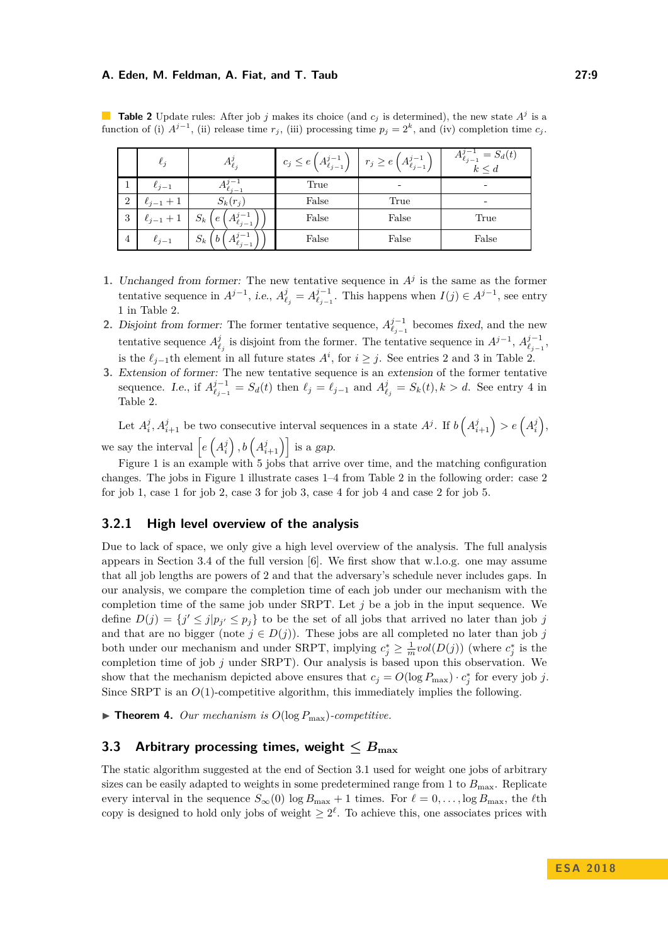|                | $\ell_j$       | $A_{\ell,i}$                                                                         | $c_j \leq e\left(A_{\ell_{j-1}}^{j-1}\right)$ | $r_j \geq e\left(A_{\ell_{j-1}}^{j-1}\right)$ | $= S_d(t)$<br>$\ell_{j-1}$<br>$k \leq d$ |  |  |
|----------------|----------------|--------------------------------------------------------------------------------------|-----------------------------------------------|-----------------------------------------------|------------------------------------------|--|--|
|                | $\ell_{i-1}$   | $i_{j-1}$                                                                            | True                                          | -                                             |                                          |  |  |
| $\overline{2}$ | $\ell_{j-1}+1$ | $S_k(r_j)$                                                                           | False                                         | True                                          |                                          |  |  |
| 3              | $\ell_{j-1}$   | $S_k$<br>$\epsilon$<br>$A'_{\ell_{j-1}}$                                             | False                                         | False                                         | True                                     |  |  |
| 4              | $\ell_{i-1}$   | $\overline{\mathbf{u}}$ $\overline{\mathbf{u}}$<br>$S_k$<br>b<br>$A'_{\ell_{j-1}}$ . | False                                         | False                                         | False                                    |  |  |

<span id="page-8-0"></span>**Table 2** Update rules: After job *j* makes its choice (and  $c_j$  is determined), the new state  $A^j$  is a function of (i)  $A^{j-1}$ , (ii) release time  $r_j$ , (iii) processing time  $p_j = 2^k$ , and (iv) completion time  $c_j$ .

- **1.** Unchanged from former: The new tentative sequence in  $A<sup>j</sup>$  is the same as the former tentative sequence in  $A^{j-1}$ , *i.e.*,  $A^j_{\ell_j} = A^{j-1}_{\ell_{j-1}}$ . This happens when  $I(j) \in A^{j-1}$ , see entry 1 in Table [2.](#page-8-0)
- **2.** Disjoint from former: The former tentative sequence,  $A_{\ell_{j-1}}^{j-1}$  becomes fixed, and the new tentative sequence  $A^j_{\ell_j}$  is disjoint from the former. The tentative sequence in  $A^{j-1}$ ,  $A^{j-1}_{\ell_{j-1}}$ , is the  $\ell_{j-1}$ th element in all future states  $A^i$ , for  $i \geq j$ . See entries 2 and 3 in Table [2.](#page-8-0)
- **3.** Extension of former: The new tentative sequence is an extension of the former tentative sequence. I.e., if  $A_{\ell_{j-1}}^{j-1} = S_d(t)$  then  $\ell_j = \ell_{j-1}$  and  $A_{\ell_j}^j = S_k(t), k > d$ . See entry 4 in Table [2.](#page-8-0)

Let  $A_i^j, A_{i+1}^j$  be two consecutive interval sequences in a state  $A^j$ . If  $b\left(A_{i+1}^j\right) > e\left(A_i^j\right)$ , we say the interval  $\left[ e\left(A_i^j\right), b\left(A_{i+1}^j\right) \right]$  is a gap.

Figure [1](#page-9-0) is an example with 5 jobs that arrive over time, and the matching configuration changes. The jobs in Figure [1](#page-9-0) illustrate cases 1–4 from Table [2](#page-8-0) in the following order: case 2 for job 1, case 1 for job 2, case 3 for job 3, case 4 for job 4 and case 2 for job 5.

# **3.2.1 High level overview of the analysis**

Due to lack of space, we only give a high level overview of the analysis. The full analysis appears in Section 3.4 of the full version [\[6\]](#page-12-0). We first show that w.l.o.g. one may assume that all job lengths are powers of 2 and that the adversary's schedule never includes gaps. In our analysis, we compare the completion time of each job under our mechanism with the completion time of the same job under SRPT. Let *j* be a job in the input sequence. We define  $D(j) = \{j' \le j | p_{j'} \le p_j\}$  to be the set of all jobs that arrived no later than job *j* and that are no bigger (note  $j \in D(j)$ ). These jobs are all completed no later than job *j* both under our mechanism and under SRPT, implying  $c_j^* \geq \frac{1}{m} vol(D(j))$  (where  $c_j^*$  is the completion time of job *j* under SRPT). Our analysis is based upon this observation. We show that the mechanism depicted above ensures that  $c_j = O(\log P_{\max}) \cdot c_j^*$  for every job *j*. Since SRPT is an  $O(1)$ -competitive algorithm, this immediately implies the following.

 $\blacktriangleright$  **Theorem 4.** *Our mechanism is*  $O(\log P_{\max})$ *-competitive.* 

# **3.3 Arbitrary processing times, weight**  $\leq B_{\text{max}}$

The static algorithm suggested at the end of Section [3.1](#page-5-2) used for weight one jobs of arbitrary sizes can be easily adapted to weights in some predetermined range from 1 to  $B_{\text{max}}$ . Replicate every interval in the sequence  $S_{\infty}(0)$  log  $B_{\max} + 1$  times. For  $\ell = 0, \ldots, \log B_{\max}$ , the  $\ell$ th copy is designed to hold only jobs of weight  $\geq 2^{\ell}$ . To achieve this, one associates prices with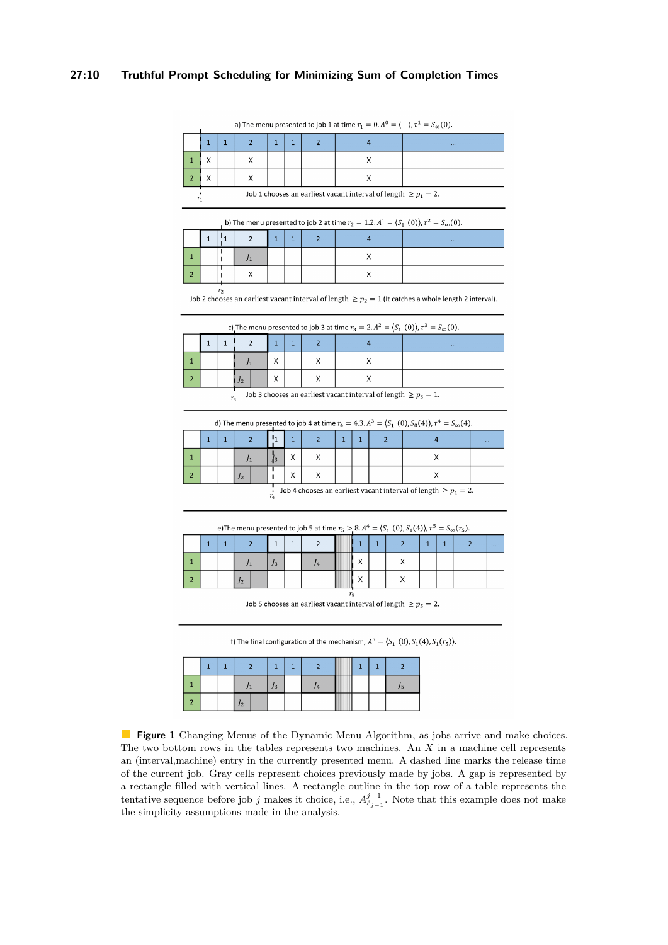## <span id="page-9-0"></span>**27:10 Truthful Prompt Scheduling for Minimizing Sum of Completion Times**

a) The menu presented to job 1 at time  $r_1 = 0$ .  $A^0 = \langle , \tau^1 = S_{\infty}(0)$ .

| Job 1 chooses an earliest vacant interval of length $\geq p_1 = 2$ .<br>$\mathbf{r}$ |  |  |  |  |  |  |  |  |  |  |
|--------------------------------------------------------------------------------------|--|--|--|--|--|--|--|--|--|--|

b) The menu presented to job 2 at time  $r_2 = 1.2$ .  $A^1 = (S_1(0))$ ,  $\tau^2 = S_{\infty}(0)$ .

|  |  |  |  | $\cdots$ |
|--|--|--|--|----------|
|  |  |  |  |          |
|  |  |  |  |          |

 $\ddot{r_2}$ Job 2 chooses an earliest vacant interval of length  $\geq p_2 = 1$  (It catches a whole length 2 interval).

|  | c) The menu presented to job 3 at time $r_3 = 2$ . $A^2 = (S_1(0))$ , $\tau^3 = S_{\infty}(0)$ . |  |  |  |  |  |  |  |      |  |  |  |  |  |
|--|--------------------------------------------------------------------------------------------------|--|--|--|--|--|--|--|------|--|--|--|--|--|
|  |                                                                                                  |  |  |  |  |  |  |  | 1.11 |  |  |  |  |  |
|  |                                                                                                  |  |  |  |  |  |  |  |      |  |  |  |  |  |
|  |                                                                                                  |  |  |  |  |  |  |  |      |  |  |  |  |  |
|  | Job 3 chooses an earliest vacant interval of length $\geq p_3 = 1$ .<br>$r_{\rm a}$              |  |  |  |  |  |  |  |      |  |  |  |  |  |

d) The menu presented to job 4 at time  $r_4 = 4.3$ .  $A^3 = (S_1(0), S_0(4)), \tau^4 = S_{\infty}(4)$ .

|                                                                            |  |  |    |  |  |  |  |  |  |  |  | $\cdots$ |
|----------------------------------------------------------------------------|--|--|----|--|--|--|--|--|--|--|--|----------|
|                                                                            |  |  |    |  |  |  |  |  |  |  |  |          |
|                                                                            |  |  | 12 |  |  |  |  |  |  |  |  |          |
| Job 4 chooses an earliest vacant interval of length $\geq p_4 = 2$ .<br>r. |  |  |    |  |  |  |  |  |  |  |  |          |

e)The menu presented to job 5 at time  $r_5 > 8$ .  $A^4 = (S_1(0), S_1(4)), \tau^5 = S_{\infty}(r_5)$ .

|             | $\mathbf{I}$ | и |    |  | и<br>ᆠ |  | ÷ |  | n        |  |  |  |  | ∍ | $\cdots$ |
|-------------|--------------|---|----|--|--------|--|---|--|----------|--|--|--|--|---|----------|
| п           |              |   |    |  | J3     |  |   |  | v<br>. . |  |  |  |  |   |          |
| $\sim$<br>୵ |              |   | 12 |  |        |  |   |  | "        |  |  |  |  |   |          |
|             |              |   |    |  |        |  |   |  |          |  |  |  |  |   |          |

f) The final configuration of the mechanism,  $A^5 = \langle S_1(0), S_1(4), S_1(r_5) \rangle$ .

| и | в |  |  | м |  |  |  |  |
|---|---|--|--|---|--|--|--|--|
|   |   |  |  |   |  |  |  |  |
|   |   |  |  |   |  |  |  |  |

**Figure 1** Changing Menus of the Dynamic Menu Algorithm, as jobs arrive and make choices. The two bottom rows in the tables represents two machines. An *X* in a machine cell represents an (interval,machine) entry in the currently presented menu. A dashed line marks the release time of the current job. Gray cells represent choices previously made by jobs. A gap is represented by a rectangle filled with vertical lines. A rectangle outline in the top row of a table represents the tentative sequence before job *j* makes it choice, i.e.,  $A_{\ell_{j-1}}^{j-1}$ . Note that this example does not make the simplicity assumptions made in the analysis.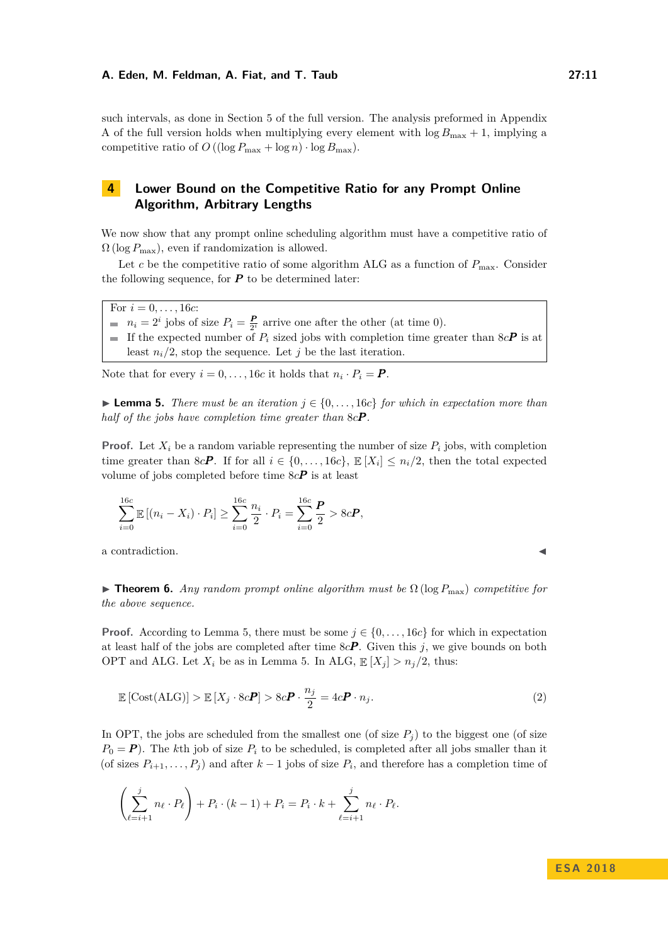such intervals, as done in Section 5 of the full version. The analysis preformed in Appendix A of the full version holds when multiplying every element with  $\log B_{\text{max}} + 1$ , implying a competitive ratio of  $O((\log P_{\max} + \log n) \cdot \log B_{\max}).$ 

# <span id="page-10-0"></span>**4 Lower Bound on the Competitive Ratio for any Prompt Online Algorithm, Arbitrary Lengths**

We now show that any prompt online scheduling algorithm must have a competitive ratio of  $\Omega$  (log  $P_{\text{max}}$ ), even if randomization is allowed.

Let *c* be the competitive ratio of some algorithm ALG as a function of  $P_{\text{max}}$ . Consider the following sequence, for  $P$  to be determined later:

For  $i = 0, \ldots, 16c$ :

- $n_i = 2^i$  jobs of size  $P_i = \frac{P}{2^i}$  arrive one after the other (at time 0).
- If the expected number of  $P_i$  sized jobs with completion time greater than  $8cP$  is at least  $n_i/2$ , stop the sequence. Let *j* be the last iteration.

Note that for every  $i = 0, \ldots, 16c$  it holds that  $n_i \cdot P_i = P$ .

<span id="page-10-1"></span>**► Lemma 5.** *There must be an iteration*  $j \in \{0, \ldots, 16c\}$  *for which in expectation more than half of the jobs have completion time greater than* 8*cP .*

**Proof.** Let  $X_i$  be a random variable representing the number of size  $P_i$  jobs, with completion time greater than 8*cP*. If for all  $i \in \{0, \ldots, 16c\}$ ,  $\mathbb{E}[X_i] \leq n_i/2$ , then the total expected volume of jobs completed before time 8*cP* is at least

$$
\sum_{i=0}^{16c} \mathbb{E} [(n_i - X_i) \cdot P_i] \geq \sum_{i=0}^{16c} \frac{n_i}{2} \cdot P_i = \sum_{i=0}^{16c} \frac{P}{2} > 8cP,
$$

a contradiction.

**Find Theorem 6.** *Any random prompt online algorithm must be*  $\Omega$  (log  $P_{\text{max}}$ ) *competitive for the above sequence.*

**Proof.** According to Lemma [5,](#page-10-1) there must be some  $j \in \{0, \ldots, 16c\}$  for which in expectation at least half of the jobs are completed after time  $8cP$ . Given this *j*, we give bounds on both OPT and ALG. Let  $X_i$  be as in Lemma [5.](#page-10-1) In ALG,  $\mathbb{E}[X_i] > n_i/2$ , thus:

$$
\mathbb{E}\left[\text{Cost}(\text{ALG})\right] > \mathbb{E}\left[X_j \cdot 8c\mathbf{P}\right] > 8c\mathbf{P} \cdot \frac{n_j}{2} = 4c\mathbf{P} \cdot n_j. \tag{2}
$$

In OPT, the jobs are scheduled from the smallest one (of size  $P_i$ ) to the biggest one (of size  $P_0 = P$ ). The *k*th job of size  $P_i$  to be scheduled, is completed after all jobs smaller than it (of sizes  $P_{i+1}, \ldots, P_j$ ) and after  $k-1$  jobs of size  $P_i$ , and therefore has a completion time of

$$
\left(\sum_{\ell=i+1}^{j} n_{\ell} \cdot P_{\ell}\right) + P_{i} \cdot (k-1) + P_{i} = P_{i} \cdot k + \sum_{\ell=i+1}^{j} n_{\ell} \cdot P_{\ell}.
$$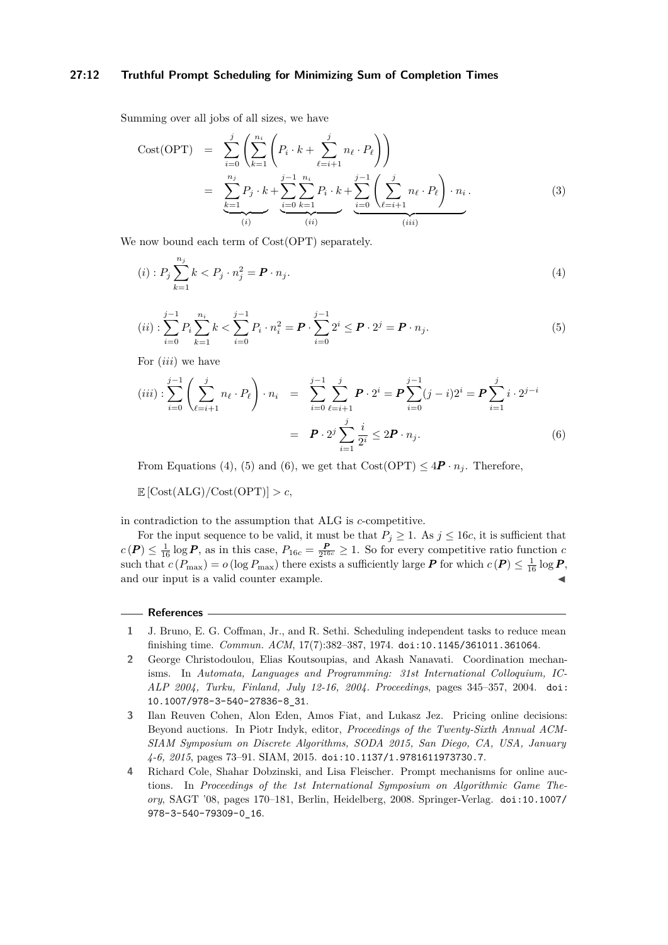### **27:12 Truthful Prompt Scheduling for Minimizing Sum of Completion Times**

Summing over all jobs of all sizes, we have

Cost(OPT) = 
$$
\sum_{i=0}^{j} \left( \sum_{k=1}^{n_i} \left( P_i \cdot k + \sum_{\ell=i+1}^{j} n_\ell \cdot P_\ell \right) \right)
$$
  
= 
$$
\sum_{\substack{k=1 \ \text{odd } k}}^{n_j} P_j \cdot k + \sum_{\substack{i=0 \ k=1}}^{j-1} \sum_{k=1}^{n_i} P_i \cdot k + \sum_{\substack{i=0 \ \text{odd } k}}^{j-1} \left( \sum_{\ell=i+1}^{j} n_\ell \cdot P_\ell \right) \cdot n_i.
$$
 (3)

We now bound each term of  $Cost(OPT)$  separately.

<span id="page-11-4"></span>
$$
(i): P_j \sum_{k=1}^{n_j} k < P_j \cdot n_j^2 = \boldsymbol{P} \cdot n_j. \tag{4}
$$

<span id="page-11-5"></span>
$$
(ii): \sum_{i=0}^{j-1} P_i \sum_{k=1}^{n_i} k < \sum_{i=0}^{j-1} P_i \cdot n_i^2 = \boldsymbol{P} \cdot \sum_{i=0}^{j-1} 2^i \leq \boldsymbol{P} \cdot 2^j = \boldsymbol{P} \cdot n_j. \tag{5}
$$

For (*iii*) we have

<span id="page-11-6"></span>
$$
(iii): \sum_{i=0}^{j-1} \left( \sum_{\ell=i+1}^{j} n_{\ell} \cdot P_{\ell} \right) \cdot n_{i} = \sum_{i=0}^{j-1} \sum_{\ell=i+1}^{j} \mathbf{P} \cdot 2^{i} = \mathbf{P} \sum_{i=0}^{j-1} (j-i) 2^{i} = \mathbf{P} \sum_{i=1}^{j} i \cdot 2^{j-i}
$$

$$
= \mathbf{P} \cdot 2^{j} \sum_{i=1}^{j} \frac{i}{2^{i}} \le 2\mathbf{P} \cdot n_{j}.
$$
(6)

From Equations [\(4\)](#page-11-4), [\(5\)](#page-11-5) and [\(6\)](#page-11-6), we get that  $Cost(OPT) \leq 4P \cdot n_i$ . Therefore,

 $\mathbb{E} \left[ \text{Cost}(\text{ALG}) / \text{Cost}(\text{OPT}) \right] > c$ 

in contradiction to the assumption that ALG is *c*-competitive.

For the input sequence to be valid, it must be that  $P_j \geq 1$ . As  $j \leq 16c$ , it is sufficient that  $c(P) \leq \frac{1}{16} \log P$ , as in this case,  $P_{16c} = \frac{P}{2^{16c}} \geq 1$ . So for every competitive ratio function *c* such that  $c(P_{\text{max}}) = o(\log P_{\text{max}})$  there exists a sufficiently large  $P$  for which  $c(P) \leq \frac{1}{16} \log P$ , and our input is a valid counter example.

#### **References**

- <span id="page-11-0"></span>**1** J. Bruno, E. G. Coffman, Jr., and R. Sethi. Scheduling independent tasks to reduce mean finishing time. *Commun. ACM*, 17(7):382–387, 1974. [doi:10.1145/361011.361064](http://dx.doi.org/10.1145/361011.361064).
- <span id="page-11-3"></span>**2** George Christodoulou, Elias Koutsoupias, and Akash Nanavati. Coordination mechanisms. In *Automata, Languages and Programming: 31st International Colloquium, IC-ALP 2004, Turku, Finland, July 12-16, 2004. Proceedings*, pages 345–357, 2004. [doi:](http://dx.doi.org/10.1007/978-3-540-27836-8_31) [10.1007/978-3-540-27836-8\\_31](http://dx.doi.org/10.1007/978-3-540-27836-8_31).
- <span id="page-11-1"></span>**3** Ilan Reuven Cohen, Alon Eden, Amos Fiat, and Lukasz Jez. Pricing online decisions: Beyond auctions. In Piotr Indyk, editor, *Proceedings of the Twenty-Sixth Annual ACM-SIAM Symposium on Discrete Algorithms, SODA 2015, San Diego, CA, USA, January 4-6, 2015*, pages 73–91. SIAM, 2015. [doi:10.1137/1.9781611973730.7](http://dx.doi.org/10.1137/1.9781611973730.7).
- <span id="page-11-2"></span>**4** Richard Cole, Shahar Dobzinski, and Lisa Fleischer. Prompt mechanisms for online auctions. In *Proceedings of the 1st International Symposium on Algorithmic Game Theory*, SAGT '08, pages 170–181, Berlin, Heidelberg, 2008. Springer-Verlag. [doi:10.1007/](http://dx.doi.org/10.1007/978-3-540-79309-0_16) [978-3-540-79309-0\\_16](http://dx.doi.org/10.1007/978-3-540-79309-0_16).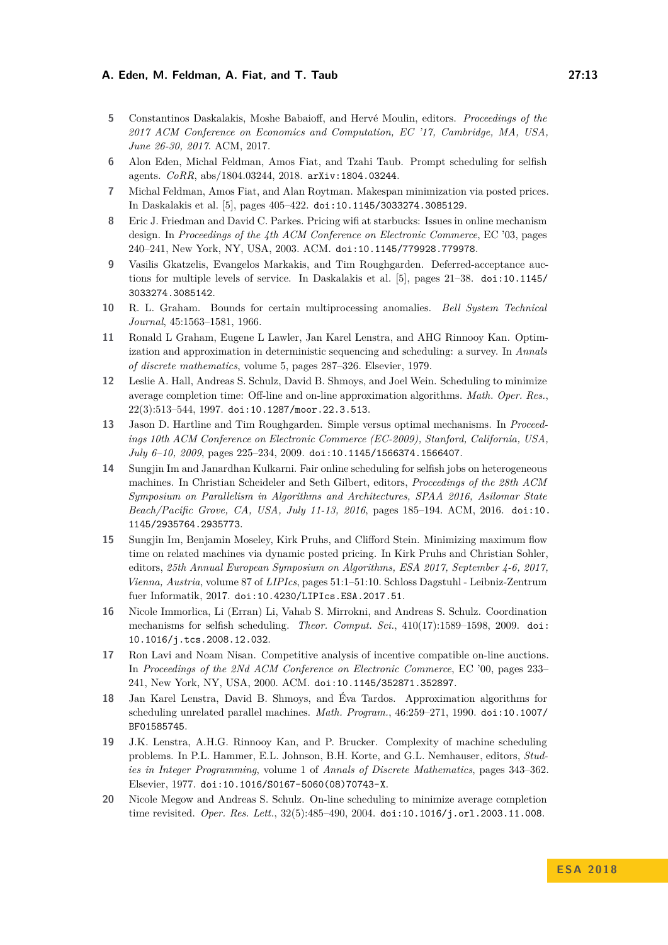- <span id="page-12-15"></span>**5** Constantinos Daskalakis, Moshe Babaioff, and Hervé Moulin, editors. *Proceedings of the 2017 ACM Conference on Economics and Computation, EC '17, Cambridge, MA, USA, June 26-30, 2017*. ACM, 2017.
- <span id="page-12-0"></span>**6** Alon Eden, Michal Feldman, Amos Fiat, and Tzahi Taub. Prompt scheduling for selfish agents. *CoRR*, abs/1804.03244, 2018. [arXiv:1804.03244](http://arxiv.org/abs/1804.03244).
- <span id="page-12-5"></span>**7** Michal Feldman, Amos Fiat, and Alan Roytman. Makespan minimization via posted prices. In Daskalakis et al. [\[5\]](#page-12-15), pages 405–422. [doi:10.1145/3033274.3085129](http://dx.doi.org/10.1145/3033274.3085129).
- <span id="page-12-10"></span>**8** Eric J. Friedman and David C. Parkes. Pricing wifi at starbucks: Issues in online mechanism design. In *Proceedings of the 4th ACM Conference on Electronic Commerce*, EC '03, pages 240–241, New York, NY, USA, 2003. ACM. [doi:10.1145/779928.779978](http://dx.doi.org/10.1145/779928.779978).
- <span id="page-12-7"></span>**9** Vasilis Gkatzelis, Evangelos Markakis, and Tim Roughgarden. Deferred-acceptance auctions for multiple levels of service. In Daskalakis et al. [\[5\]](#page-12-15), pages 21–38. [doi:10.1145/](http://dx.doi.org/10.1145/3033274.3085142) [3033274.3085142](http://dx.doi.org/10.1145/3033274.3085142).
- <span id="page-12-11"></span>**10** R. L. Graham. Bounds for certain multiprocessing anomalies. *Bell System Technical Journal*, 45:1563–1581, 1966.
- <span id="page-12-1"></span>**11** Ronald L Graham, Eugene L Lawler, Jan Karel Lenstra, and AHG Rinnooy Kan. Optimization and approximation in deterministic sequencing and scheduling: a survey. In *Annals of discrete mathematics*, volume 5, pages 287–326. Elsevier, 1979.
- <span id="page-12-2"></span>**12** Leslie A. Hall, Andreas S. Schulz, David B. Shmoys, and Joel Wein. Scheduling to minimize average completion time: Off-line and on-line approximation algorithms. *Math. Oper. Res.*, 22(3):513–544, 1997. [doi:10.1287/moor.22.3.513](http://dx.doi.org/10.1287/moor.22.3.513).
- <span id="page-12-4"></span>**13** Jason D. Hartline and Tim Roughgarden. Simple versus optimal mechanisms. In *Proceedings 10th ACM Conference on Electronic Commerce (EC-2009), Stanford, California, USA, July 6–10, 2009*, pages 225–234, 2009. [doi:10.1145/1566374.1566407](http://dx.doi.org/10.1145/1566374.1566407).
- <span id="page-12-8"></span>**14** Sungjin Im and Janardhan Kulkarni. Fair online scheduling for selfish jobs on heterogeneous machines. In Christian Scheideler and Seth Gilbert, editors, *Proceedings of the 28th ACM Symposium on Parallelism in Algorithms and Architectures, SPAA 2016, Asilomar State Beach/Pacific Grove, CA, USA, July 11-13, 2016*, pages 185–194. ACM, 2016. [doi:10.](http://dx.doi.org/10.1145/2935764.2935773) [1145/2935764.2935773](http://dx.doi.org/10.1145/2935764.2935773).
- <span id="page-12-6"></span>**15** Sungjin Im, Benjamin Moseley, Kirk Pruhs, and Clifford Stein. Minimizing maximum flow time on related machines via dynamic posted pricing. In Kirk Pruhs and Christian Sohler, editors, *25th Annual European Symposium on Algorithms, ESA 2017, September 4-6, 2017, Vienna, Austria*, volume 87 of *LIPIcs*, pages 51:1–51:10. Schloss Dagstuhl - Leibniz-Zentrum fuer Informatik, 2017. [doi:10.4230/LIPIcs.ESA.2017.51](http://dx.doi.org/10.4230/LIPIcs.ESA.2017.51).
- <span id="page-12-14"></span>**16** Nicole Immorlica, Li (Erran) Li, Vahab S. Mirrokni, and Andreas S. Schulz. Coordination mechanisms for selfish scheduling. *Theor. Comput. Sci.*, 410(17):1589–1598, 2009. [doi:](http://dx.doi.org/10.1016/j.tcs.2008.12.032) [10.1016/j.tcs.2008.12.032](http://dx.doi.org/10.1016/j.tcs.2008.12.032).
- <span id="page-12-9"></span>**17** Ron Lavi and Noam Nisan. Competitive analysis of incentive compatible on-line auctions. In *Proceedings of the 2Nd ACM Conference on Electronic Commerce*, EC '00, pages 233– 241, New York, NY, USA, 2000. ACM. [doi:10.1145/352871.352897](http://dx.doi.org/10.1145/352871.352897).
- <span id="page-12-13"></span>**18** Jan Karel Lenstra, David B. Shmoys, and Éva Tardos. Approximation algorithms for scheduling unrelated parallel machines. *Math. Program.*, 46:259–271, 1990. [doi:10.1007/](http://dx.doi.org/10.1007/BF01585745) [BF01585745](http://dx.doi.org/10.1007/BF01585745).
- <span id="page-12-12"></span>**19** J.K. Lenstra, A.H.G. Rinnooy Kan, and P. Brucker. Complexity of machine scheduling problems. In P.L. Hammer, E.L. Johnson, B.H. Korte, and G.L. Nemhauser, editors, *Studies in Integer Programming*, volume 1 of *Annals of Discrete Mathematics*, pages 343–362. Elsevier, 1977. [doi:10.1016/S0167-5060\(08\)70743-X](http://dx.doi.org/10.1016/S0167-5060(08)70743-X).
- <span id="page-12-3"></span>**20** Nicole Megow and Andreas S. Schulz. On-line scheduling to minimize average completion time revisited. *Oper. Res. Lett.*, 32(5):485–490, 2004. [doi:10.1016/j.orl.2003.11.008](http://dx.doi.org/10.1016/j.orl.2003.11.008).